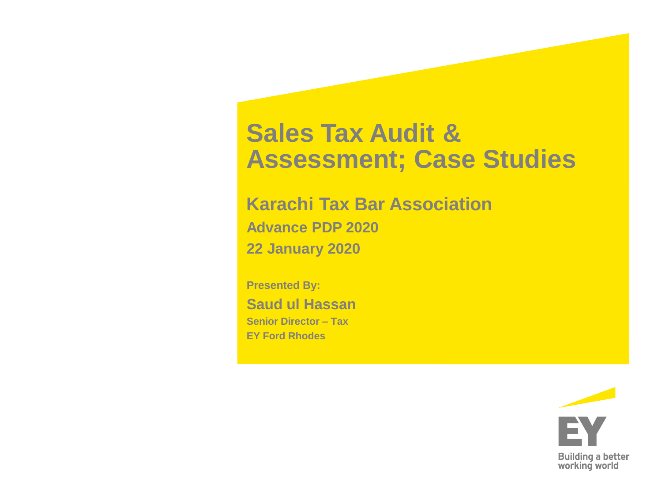## **Sales Tax Audit & Assessment; Case Studies**

**Karachi Tax Bar Association Advance PDP 2020 22 January 2020**

**Presented By: Saud ul Hassan Senior Director – Tax EY Ford Rhodes**

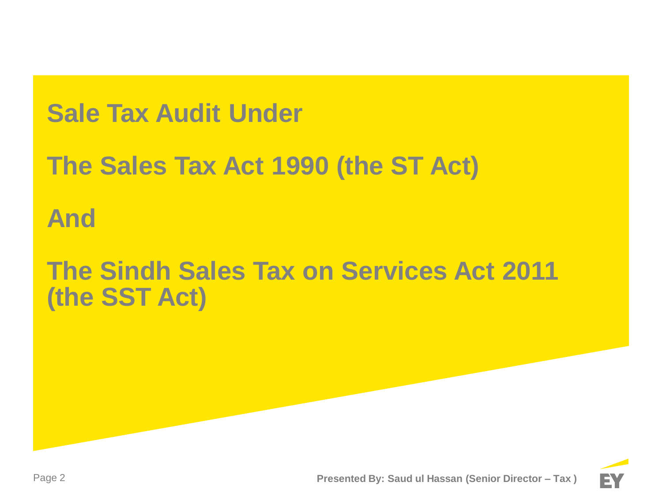## **Sale Tax Audit Under**

# **The Sales Tax Act 1990 (the ST Act)**

## **And**

## **The Sindh Sales Tax on Services Act 2011 (the SST Act)**

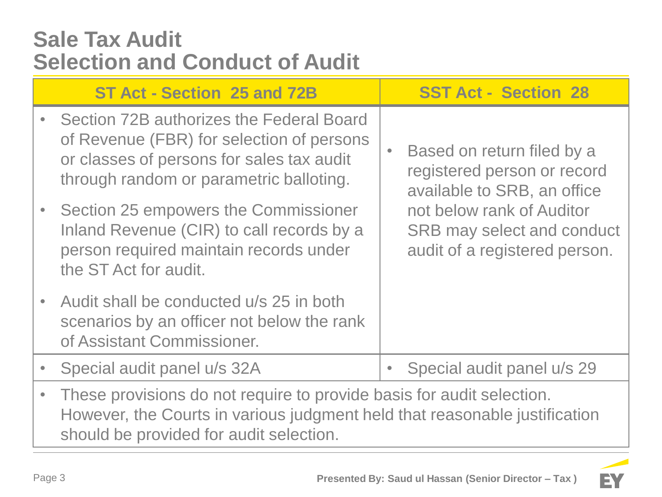### **Sale Tax Audit Selection and Conduct of Audit**

| ST Act - Section 25 and 72B                                                                                                                                                                    |  | <b>SST Act - Section 28</b>                                                                     |
|------------------------------------------------------------------------------------------------------------------------------------------------------------------------------------------------|--|-------------------------------------------------------------------------------------------------|
| Section 72B authorizes the Federal Board<br>of Revenue (FBR) for selection of persons<br>or classes of persons for sales tax audit<br>through random or parametric balloting.                  |  | Based on return filed by a<br>registered person or record<br>available to SRB, an office        |
| Section 25 empowers the Commissioner<br>Inland Revenue (CIR) to call records by a<br>person required maintain records under<br>the ST Act for audit.                                           |  | not below rank of Auditor<br><b>SRB may select and conduct</b><br>audit of a registered person. |
| Audit shall be conducted u/s 25 in both<br>scenarios by an officer not below the rank<br>of Assistant Commissioner.                                                                            |  |                                                                                                 |
| Special audit panel u/s 32A                                                                                                                                                                    |  | Special audit panel u/s 29                                                                      |
| These provisions do not require to provide basis for audit selection.<br>However, the Courts in various judgment held that reasonable justification<br>should be provided for audit selection. |  |                                                                                                 |

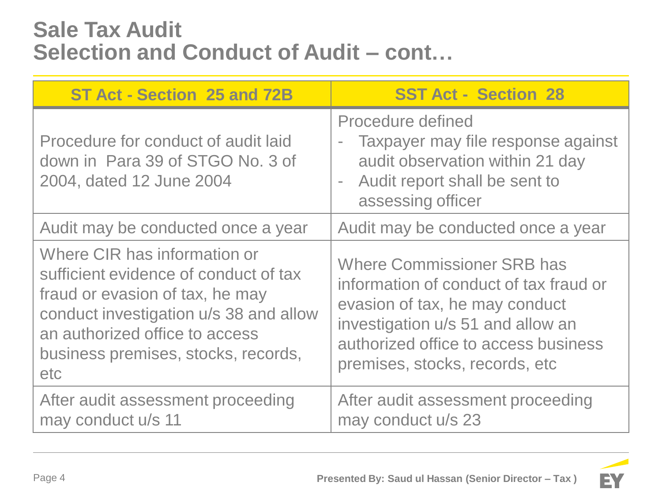### **Sale Tax Audit Selection and Conduct of Audit – cont…**

| ST Act - Section 25 and 72B                                                                                                                                                                                                        | <b>SST Act - Section 28</b>                                                                                                                                                                                                  |
|------------------------------------------------------------------------------------------------------------------------------------------------------------------------------------------------------------------------------------|------------------------------------------------------------------------------------------------------------------------------------------------------------------------------------------------------------------------------|
| Procedure for conduct of audit laid<br>down in Para 39 of STGO No. 3 of<br>2004, dated 12 June 2004                                                                                                                                | Procedure defined<br>Taxpayer may file response against<br>$\bar{ }$<br>audit observation within 21 day<br>Audit report shall be sent to<br>$\overline{a}$<br>assessing officer                                              |
| Audit may be conducted once a year                                                                                                                                                                                                 | Audit may be conducted once a year                                                                                                                                                                                           |
| Where CIR has information or<br>sufficient evidence of conduct of tax<br>fraud or evasion of tax, he may<br>conduct investigation u/s 38 and allow<br>an authorized office to access<br>business premises, stocks, records,<br>etc | <b>Where Commissioner SRB has</b><br>information of conduct of tax fraud or<br>evasion of tax, he may conduct<br>investigation u/s 51 and allow an<br>authorized office to access business<br>premises, stocks, records, etc |
| After audit assessment proceeding<br>may conduct u/s 11                                                                                                                                                                            | After audit assessment proceeding<br>may conduct u/s 23                                                                                                                                                                      |

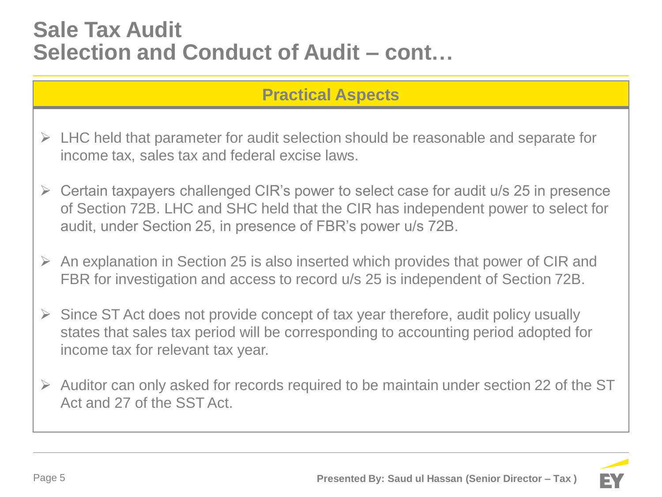### **Sale Tax Audit Selection and Conduct of Audit – cont…**

### **Practical Aspects**

- $\triangleright$  LHC held that parameter for audit selection should be reasonable and separate for income tax, sales tax and federal excise laws.
- $\triangleright$  Certain taxpayers challenged CIR's power to select case for audit u/s 25 in presence of Section 72B. LHC and SHC held that the CIR has independent power to select for audit, under Section 25, in presence of FBR's power u/s 72B.
- $\triangleright$  An explanation in Section 25 is also inserted which provides that power of CIR and FBR for investigation and access to record u/s 25 is independent of Section 72B.
- $\triangleright$  Since ST Act does not provide concept of tax year therefore, audit policy usually states that sales tax period will be corresponding to accounting period adopted for income tax for relevant tax year.
- $\triangleright$  Auditor can only asked for records required to be maintain under section 22 of the ST Act and 27 of the SST Act.

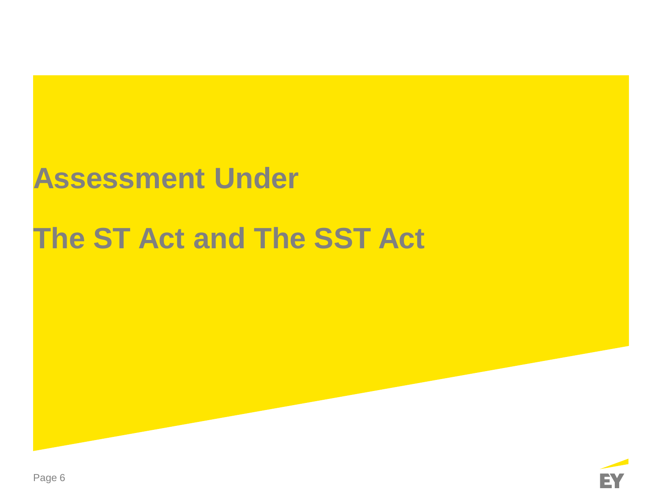# **Assessment Under**

# **The ST Act and The SST Act**

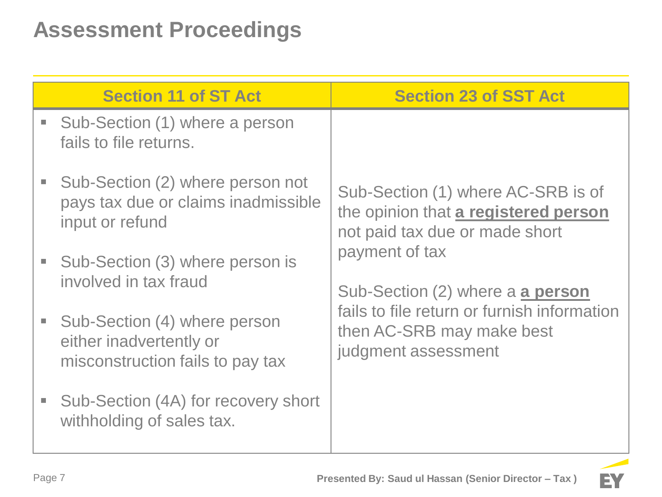### **Assessment Proceedings**

|                             | <b>Section 11 of ST Act</b>                                                                 | <b>Section 23 of SST Act</b>                                                                                                                          |
|-----------------------------|---------------------------------------------------------------------------------------------|-------------------------------------------------------------------------------------------------------------------------------------------------------|
| $\mathcal{L}_{\mathcal{A}}$ | Sub-Section (1) where a person<br>fails to file returns.                                    |                                                                                                                                                       |
|                             | Sub-Section (2) where person not<br>pays tax due or claims inadmissible<br>input or refund  | Sub-Section (1) where AC-SRB is of<br>the opinion that a registered person<br>not paid tax due or made short                                          |
|                             | Sub-Section (3) where person is<br>involved in tax fraud                                    | payment of tax<br>Sub-Section (2) where a a person<br>fails to file return or furnish information<br>then AC-SRB may make best<br>judgment assessment |
| $\mathcal{L}_{\mathcal{A}}$ | Sub-Section (4) where person<br>either inadvertently or<br>misconstruction fails to pay tax |                                                                                                                                                       |
| $\mathcal{L}_{\mathcal{A}}$ | Sub-Section (4A) for recovery short<br>withholding of sales tax.                            |                                                                                                                                                       |

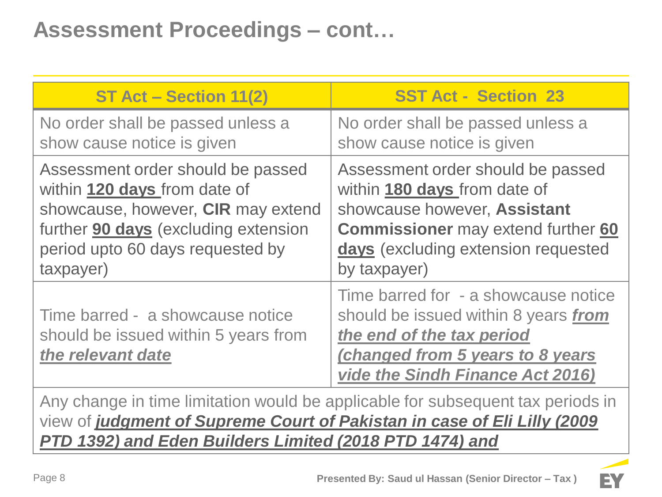### **Assessment Proceedings – cont…**

| ST Act - Section 11(2)                                                                        | <b>SST Act - Section 23</b>                                                                                                                                                       |
|-----------------------------------------------------------------------------------------------|-----------------------------------------------------------------------------------------------------------------------------------------------------------------------------------|
| No order shall be passed unless a                                                             | No order shall be passed unless a                                                                                                                                                 |
| show cause notice is given                                                                    | show cause notice is given                                                                                                                                                        |
| Assessment order should be passed                                                             | Assessment order should be passed                                                                                                                                                 |
| within 120 days from date of                                                                  | within 180 days from date of                                                                                                                                                      |
| showcause, however, CIR may extend                                                            | showcause however, Assistant                                                                                                                                                      |
| further <b>90 days</b> (excluding extension                                                   | <b>Commissioner</b> may extend further 60                                                                                                                                         |
| period upto 60 days requested by                                                              | days (excluding extension requested                                                                                                                                               |
| taxpayer)                                                                                     | by taxpayer)                                                                                                                                                                      |
| Time barred - a showcause notice<br>should be issued within 5 years from<br>the relevant date | Time barred for - a showcause notice<br>should be issued within 8 years from<br>the end of the tax period<br>(changed from 5 years to 8 years<br>vide the Sindh Finance Act 2016) |

Any change in time limitation would be applicable for subsequent tax periods in view of *judgment of Supreme Court of Pakistan in case of Eli Lilly (2009 PTD 1392) and Eden Builders Limited (2018 PTD 1474) and* 

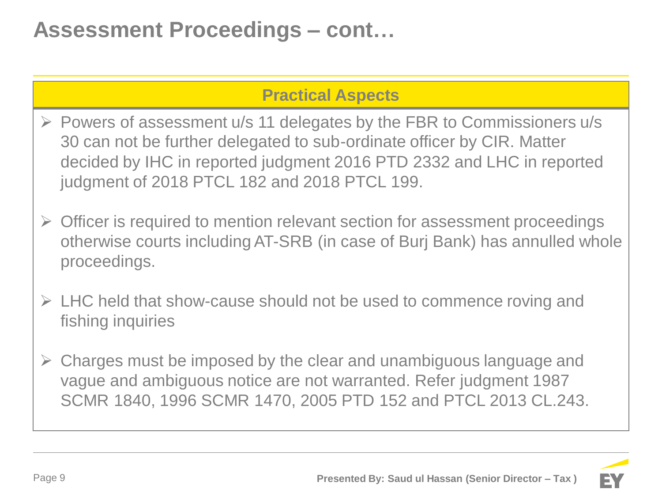### **Assessment Proceedings – cont…**

### **Practical Aspects**

- $\triangleright$  Powers of assessment u/s 11 delegates by the FBR to Commissioners u/s 30 can not be further delegated to sub-ordinate officer by CIR. Matter decided by IHC in reported judgment 2016 PTD 2332 and LHC in reported judgment of 2018 PTCL 182 and 2018 PTCL 199.
- $\triangleright$  Officer is required to mention relevant section for assessment proceedings otherwise courts including AT-SRB (in case of Burj Bank) has annulled whole proceedings.
- $\triangleright$  LHC held that show-cause should not be used to commence roving and fishing inquiries
- Charges must be imposed by the clear and unambiguous language and vague and ambiguous notice are not warranted. Refer judgment 1987 SCMR 1840, 1996 SCMR 1470, 2005 PTD 152 and PTCL 2013 CL.243.

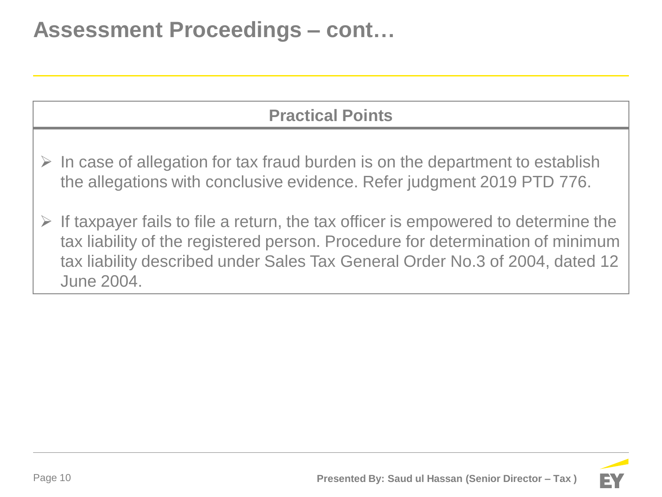### **Assessment Proceedings – cont…**

### **Practical Points**

- $\triangleright$  In case of allegation for tax fraud burden is on the department to establish the allegations with conclusive evidence. Refer judgment 2019 PTD 776.
- If taxpayer fails to file a return, the tax officer is empowered to determine the tax liability of the registered person. Procedure for determination of minimum tax liability described under Sales Tax General Order No.3 of 2004, dated 12 June 2004.

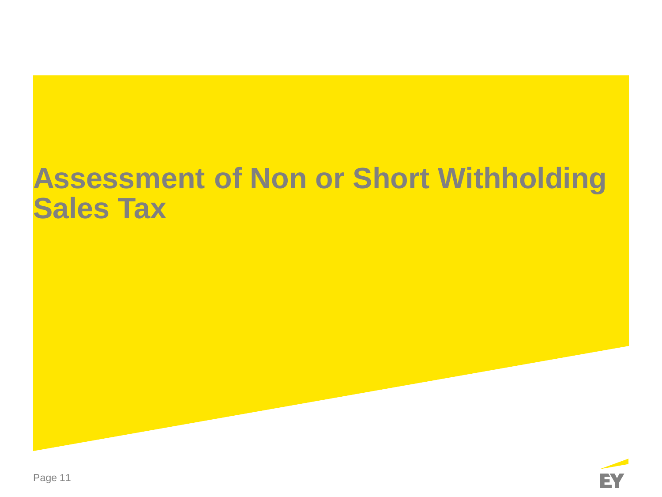# **Assessment of Non or Short Withholding Sales Tax**

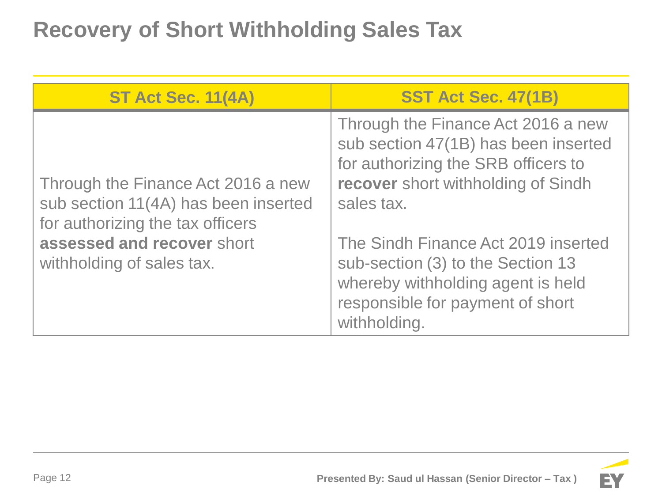## **Recovery of Short Withholding Sales Tax**

| <b>ST Act Sec. 11(4A)</b>                                                                                                                                                 | <b>SST Act Sec. 47(1B)</b>                                                                                                                                                                                                                                                                                                                 |
|---------------------------------------------------------------------------------------------------------------------------------------------------------------------------|--------------------------------------------------------------------------------------------------------------------------------------------------------------------------------------------------------------------------------------------------------------------------------------------------------------------------------------------|
| Through the Finance Act 2016 a new<br>sub section 11(4A) has been inserted<br>for authorizing the tax officers<br>assessed and recover short<br>withholding of sales tax. | Through the Finance Act 2016 a new<br>sub section 47(1B) has been inserted<br>for authorizing the SRB officers to<br>recover short withholding of Sindh<br>sales tax.<br>The Sindh Finance Act 2019 inserted<br>sub-section (3) to the Section 13<br>whereby withholding agent is held<br>responsible for payment of short<br>withholding. |

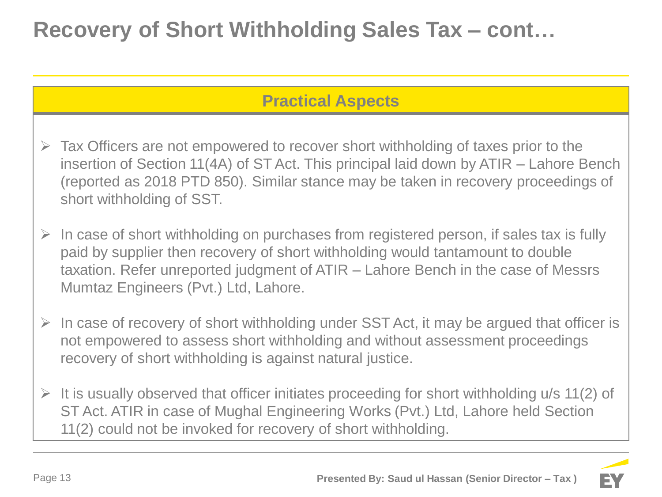## **Recovery of Short Withholding Sales Tax – cont…**

### **Practical Aspects**

- $\triangleright$  Tax Officers are not empowered to recover short withholding of taxes prior to the insertion of Section 11(4A) of ST Act. This principal laid down by ATIR – Lahore Bench (reported as 2018 PTD 850). Similar stance may be taken in recovery proceedings of short withholding of SST.
- In case of short withholding on purchases from registered person, if sales tax is fully paid by supplier then recovery of short withholding would tantamount to double taxation. Refer unreported judgment of ATIR – Lahore Bench in the case of Messrs Mumtaz Engineers (Pvt.) Ltd, Lahore.
- $\triangleright$  In case of recovery of short withholding under SST Act, it may be argued that officer is not empowered to assess short withholding and without assessment proceedings recovery of short withholding is against natural justice.
- $\triangleright$  It is usually observed that officer initiates proceeding for short withholding u/s 11(2) of ST Act. ATIR in case of Mughal Engineering Works (Pvt.) Ltd, Lahore held Section 11(2) could not be invoked for recovery of short withholding.

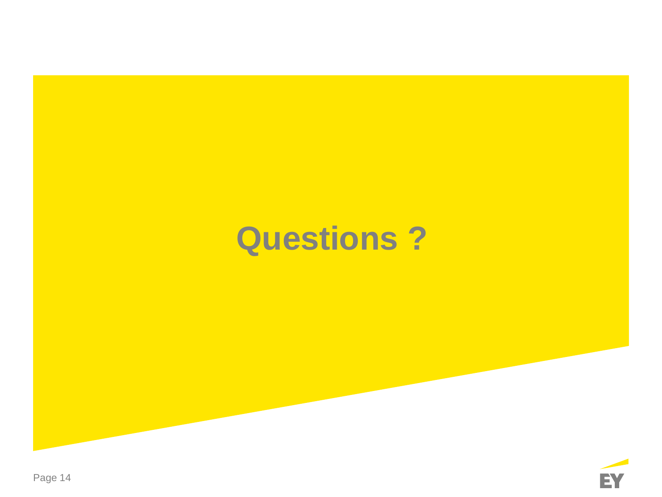# **Questions ?**

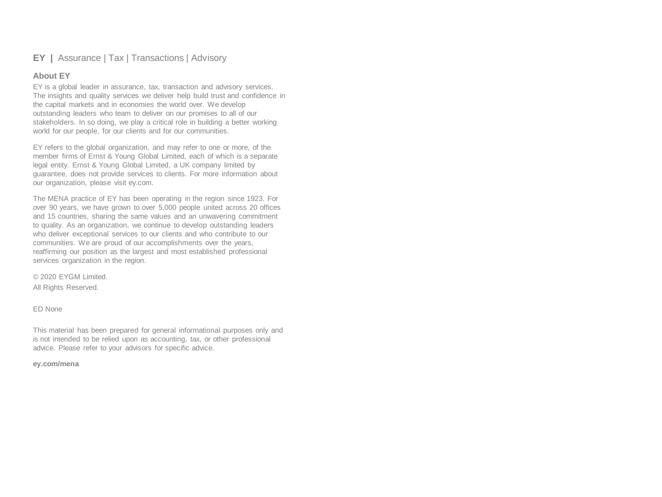#### **EY |** Assurance | Tax | Transactions | Advisory

#### **About EY**

EY is a global leader in assurance, tax, transaction and advisory services. The insights and quality services we deliver help build trust and confidence in the capital markets and in economies the world over. We develop outstanding leaders who team to deliver on our promises to all of our stakeholders. In so doing, we play a critical role in building a better working world for our people, for our clients and for our communities.

EY refers to the global organization, and may refer to one or more, of the member firms of Ernst & Young Global Limited, each of which is a separate legal entity. Ernst & Young Global Limited, a UK company limited by guarantee, does not provide services to clients. For more information about our organization, please visit ey.com.

The MENA practice of EY has been operating in the region since 1923. For over 90 years, we have grown to over 5,000 people united across 20 offices and 15 countries, sharing the same values and an unwavering commitment to quality. As an organization, we continue to develop outstanding leaders who deliver exceptional services to our clients and who contribute to our communities. We are proud of our accomplishments over the years, reaffirming our position as the largest and most established professional services organization in the region.

© 2020 EYGM Limited. All Rights Reserved.

#### ED None

This material has been prepared for general informational purposes only and is not intended to be relied upon as accounting, tax, or other professional advice. Please refer to your advisors for specific advice.

#### **ey.com/mena**